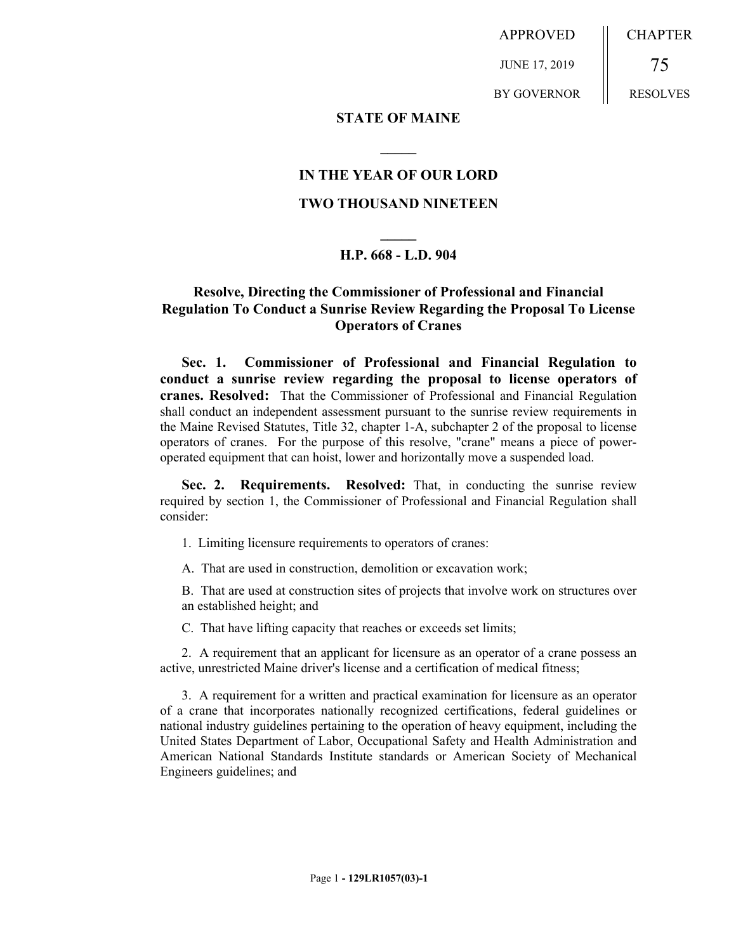APPROVED

JUNE 17, 2019

BY GOVERNOR

75 RESOLVES

CHAPTER

#### **STATE OF MAINE**

### **IN THE YEAR OF OUR LORD**

**\_\_\_\_\_**

### **TWO THOUSAND NINETEEN**

# **\_\_\_\_\_ H.P. 668 - L.D. 904**

## **Resolve, Directing the Commissioner of Professional and Financial Regulation To Conduct a Sunrise Review Regarding the Proposal To License Operators of Cranes**

**Sec. 1. Commissioner of Professional and Financial Regulation to conduct a sunrise review regarding the proposal to license operators of cranes. Resolved:** That the Commissioner of Professional and Financial Regulation shall conduct an independent assessment pursuant to the sunrise review requirements in the Maine Revised Statutes, Title 32, chapter 1-A, subchapter 2 of the proposal to license operators of cranes. For the purpose of this resolve, "crane" means a piece of poweroperated equipment that can hoist, lower and horizontally move a suspended load.

**Sec. 2. Requirements. Resolved:** That, in conducting the sunrise review required by section 1, the Commissioner of Professional and Financial Regulation shall consider:

- 1. Limiting licensure requirements to operators of cranes:
- A. That are used in construction, demolition or excavation work;

B. That are used at construction sites of projects that involve work on structures over an established height; and

C. That have lifting capacity that reaches or exceeds set limits;

2. A requirement that an applicant for licensure as an operator of a crane possess an active, unrestricted Maine driver's license and a certification of medical fitness;

3. A requirement for a written and practical examination for licensure as an operator of a crane that incorporates nationally recognized certifications, federal guidelines or national industry guidelines pertaining to the operation of heavy equipment, including the United States Department of Labor, Occupational Safety and Health Administration and American National Standards Institute standards or American Society of Mechanical Engineers guidelines; and